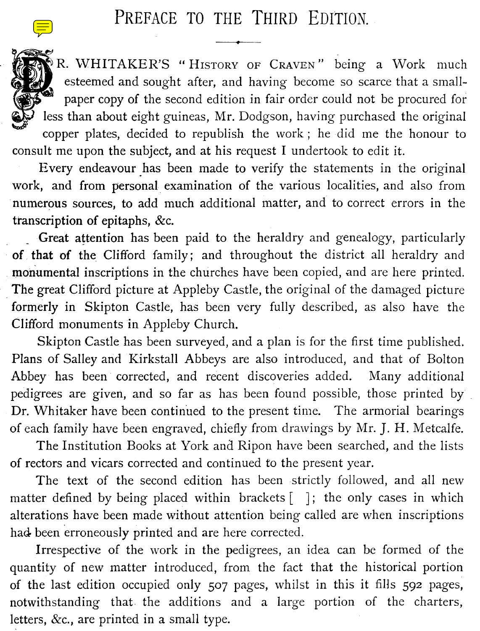## PREFACE TO THE THIRD EDITION.

R. WHITAKER'S " HISTORY OF CRAVEN" being a Work much esteemed and sought after, and having become so scarce that a smallpaper copy of the second edition in fair order could not be procured for less than about eight guineas, Mr. Dodgson, having purchased the original copper plates, decided to republish the work ; he did me the honour to consult me upon the subject, and at his request I undertook to edit it.

Every endeavour has been made to verify the statements in the original work, and from personal examination of the various localities, and also from numerous sources, to add much additional matter, and to correct errors in the transcription of epitaphs, &c.

Great attention has been paid to the heraldry and genealogy, particularly of that of the Clifford family; and throughout the district all heraldry and monumental inscriptions in the churches have been copied, and are here printed. The great Clifford picture at Appleby Castle, the original of the damaged picture formerly in Skipton Castle, has been very fully described, as also have the Clifford monuments in Appleby Church.

Skipton Castle has been surveyed, and a plan is for the first time published. Plans of Salley and Kirkstall Abbeys are also introduced, and that of Bolton Abbey has been corrected, and recent discoveries added. Many additional pedigrees are given, and so far as has been found possible, those printed by Dr. Whitaker have been continued to the present time. The armorial bearings of each family have been engraved, chiefly from drawings by Mr. J. H. Metcalfe.

The Institution Books at York and Ripon have been searched, and the lists of rectors and vicars corrected and continued to the present year.

The text of the second edition has been strictly followed, and all new matter defined by being placed within brackets  $[ \ ]$ ; the only cases in which alterations have been made without attention being called are when inscriptions had been erroneously printed and are here corrected.

Irrespective of the work in the pedigrees, an idea can be formed of the quantity of new matter introduced, from the fact that the historical portion of the last edition occupied only 507 pages, whilst in this it fills 592 pages, notwithstanding that the additions and a large portion of the charters, letters, &c., are printed in a small type.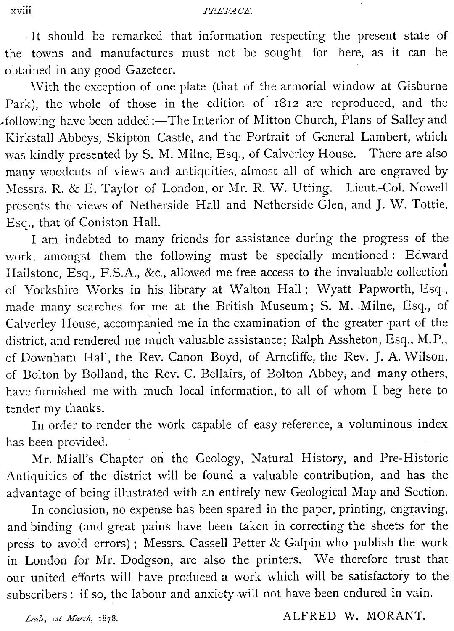It should be remarked that information respecting the present state of the towns and manufactures must not be sought for here, as it can be obtained in any good Gazeteer.

With the exception of one plate (that of the armorial window at Gisburne Park), the whole of those in the edition of 1812 are reproduced, and the following have been added:—The Interior of Mitton Church, Plans of Salley and Kirkstall Abbeys, Skipton Castle, and the Portrait of General Lambert, which was kindly presented by S. M. Milne, Esq., of Calverley House. There are also many woodcuts of views and antiquities, almost all of which are engraved by Messrs. R. & E. Taylor of London, or Mr. R. W. Utting. Lieut.-Col. Nowell presents the views of Netherside Hall and Netherside Glen, and J. W. Tottie, Esq., that of Coniston Hall.

I am indebted to many friends for assistance during the progress of the work, amongst them the following must be specially mentioned : Edward Hailstone, Esq., F.S.A., &c., allowed me free access to the invaluable collection of Yorkshire Works in his library at Walton Hall; Wyatt Papworth, Esq., made many searches for me at the British Museum ; S. M, Milne, Esq., of Calverley House, accompanied me in the examination of the greater part of the district, and rendered me much valuable assistance; Ralph Assheton, Esq., M.P., of Downham Hall, the Rev. Canon Boyd, of Arncliffe, the Rev. J. A. Wilson, of Bolton by Bolland, the Rev. C. Bellairs, of Bolton Abbey; and many others, have furnished me with much local information, to all of whom I beg here to tender my thanks.

In order to render the work capable of easy reference, a voluminous index has been provided.

Mr. Miall's Chapter on the Geology, Natural History, and Pre-Historic Antiquities of the district will be found a valuable contribution, and has the advantage of being illustrated with an entirely new Geological Map and Section.

In conclusion, no expense has been spared in the paper, printing, engraving, and binding (and great pains have been taken in correcting the sheets for the press to avoid errors) ; Messrs. Cassell Petter & Galpin who publish the work in London for Mr. Dodgson, are also the printers. We therefore trust that our united efforts will have produced a work which will be satisfactory to the subscribers : if so, the labour and anxiety will not have been endured in vain.

Leeds, 1st March, 1878. ALFRED W. MORANT.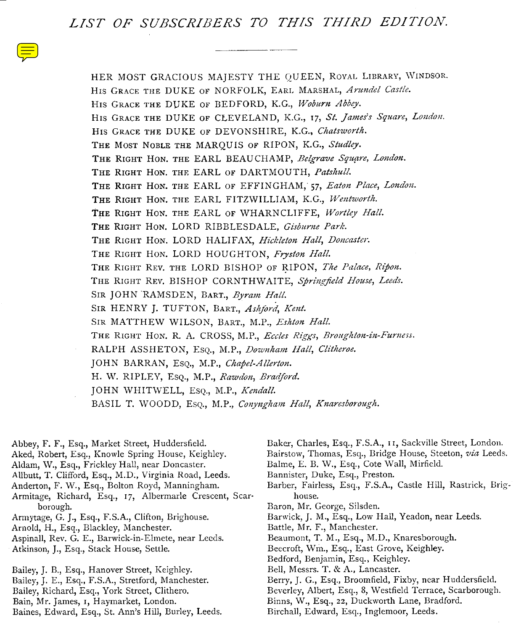LIST OF SUBSCRIBERS TO THIS THIRD EDITION.  $LIST$ 

> HER MOST GRACIOUS MAJESTY THE QUEEN, ROYAL LIBRARY, WINDSOR. HIS GRACE THE DUKE OF NORFOLK, EARL MARSHAL, Arundel Castle. HIS GRACE THE DUKE OF BEDFORD, K.G., Woburn Abbey. HIS GRACE THE DUKE OF CLEVELAND, K.G., 17, St. James's Square, London. HIS GRACE THE DUKE OF DEVONSHIRE, K.G., Chatsworth. THE MOST NOBLE THE MARQUIS OF RIPON, K.G., Studley. THE RIGHT HON. THE EARL BEAUCHAMP, Belgrave Square, London. THE RIGHT HON. THE EARL OF DARTMOUTH, Patshull. THE RIGHT HON. THE EARL OF EFFINGHAM, 57, Eaton Place, London. THE RIGHT HON. THE EARL FITZWILLIAM, K.G., Wentworth. THE RIGHT HON. THE EARL OF WHARNCLIFFE, Wortley Hall. THE RIGHT HON. LORD RIBBLESDALE, Gisburne Park. THE RIGHT HON. LORD HALIFAX, Hickleton Hall, Doncaster. THE RIGHT HON. LORD HOUGHTON, Fryston Hall. THE RIGHT REV. THE LORD BISHOP OF RIPON, The Palace, Ripon. THE RIGHT REV. BISHOP CORNTHWAITE, Springfield House, Leeds. SIR JOHN RAMSDEN, BART., Byram Hall. SIR HENRY J. TUFTON, BART., Ashford, Kent. SIR MATTHEW WILSON, BART., M.P., Eshton Hall. THE RIGHT HON. R. A. CROSS, M.P., Eccles Riggs, Broughton-in-Furness. RALPH ASSHETON, EsQ., M.P., Downham Hall, Clitheroe. JOHN BARRAN, EsQ., M.P., Chapel-Allerton. H. W. RIPLEY, EsQ., M.P., Rawdon, Bradford. JOHN WHITWELL, EsQ., M.P., Kendall. BASIL T. WOODD, EsQ., M.P., Conyngham Hall, Knaresborough.

Abbey, F. F., Esq., Market Street, Huddersfield. Aked, Robert, Esq., Knowle Spring House, Keighley. Aldam, W., Esq., Frickley Hall, near Doncaster. Allbutt, T. Clifford, Esq., M.D., Virginia Road, Leeds. Anderton, F. W., Esq., Bolton Royd, Manningham. Armitage, Richard, Esq., 17, Albermarle Crescent, Scar-borough. house. Armytage, G. J., Esq., F.S.A., Clifton, Brighouse. Arnold, H., Esq., Blackley, Manchester. Aspinall, Rev. G. E., Barwick-in-Elmete, near Leeds. Atkinson, J., Esq., Stack House, Settle. Bailey, J. B., Esq., Hanover Street, Keighley. Bailey, J. E., Esq., F.S.A., Stretford, Manchester. Bailey, Richard, Esq., York Street, Clithero. Bain, Mr. James, I, Haymarket, London. Baines, Edward, Esq., St. Ann's Hill, Burley, Leeds.

Baker, Charles, Esq., F.S.A., 11, Sackville Street, London. Bairstow, Thomas, Esq., Bridge House, Steeton, via Leeds. Balme, E. B. W., Esq., Cote Wall, Mirfield. Bannister, Duke, Esq., Preston. Barber, Fairless, Esq., F.S.A., Castle Hill, Rastrick, Brig-Baron, Mr. George, Silsden. Barwick, J. M., Esq., Low Hall, Yeadon, near Leeds. Battle, Mr. F., Manchester. Beaumont, T. M., Esq., M.D., Knaresborough. Beecroft, Wm., Esq., East Grove, Keighley. Bedford, Benjamin, Esq., Keighley. Bell, Messrs. T. & A., Lancaster. Berry, J. G., Esq., Broomfield, Fixby, near Huddersfield. Beverley, Albert, Esq., 8, Westfield Terrace, Scarborough. Binns, W., Esq., 22, Duckworth Lane, Bradford. Birchall, Edward, Esq., Inglemoor, Leeds.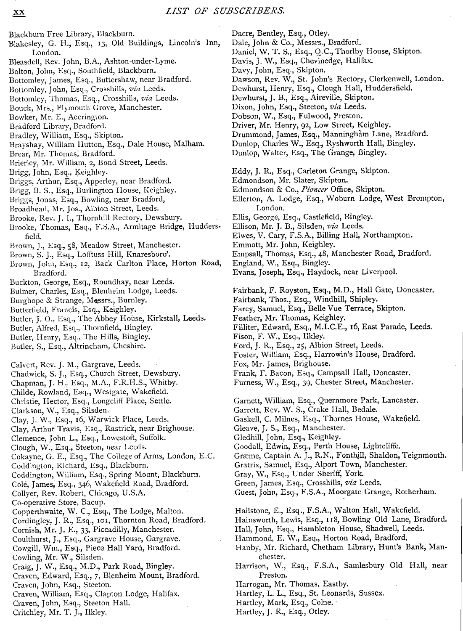Dacre, Bentley, Esq., Otley.<br>Dale, John & Co., Messrs., Bradford.

Blackburn Free Library, Blackburn. XX<br>Blackburn Free Libra<br>Blakesley, G. H., Esc Blakesley, G. H., Esq., 13, Old Buildings, Lincoln's Inn, Dale, John & Co., Messrs., Bradford.<br>London. Daniel, W. T. S., Esq., Q.C., Thorlby House, Skipton. London. XX<br>
Daniel, W. T. S., Esq., Otley.<br>
Daniel, W. T. S., Esq., Q.C., Thorlby House, Skipton.<br>
London. Daniel, W. T. S., Esq., Q.C., Thorlby House, Skipton.<br>
London. Daniel, W. T. S., Esq., Q.C., Thorlby House, Skipton. Bleasdell, Rev. John, B.A., Ashton-under-Lyme. Bolton, John, Esq., Southfield, Blackburn. Bottomley, James, Esq., Buttershaw, near Bradford. Bottomley, John, Esq., Crosshills, via Leeds. Bottomley, Thomas, Esq., Crosshills, via Leeds. Bouck, Mrs., Plymouth Grove, Manchester. Bowker, Mr. E., Accrington. Bradford Library, Bradford. Bradley, William, Esq., Skipton. Brayshay, William Hutton, Esq., Dale House, Malham. Brear, Mr. Thomas, Bradford. Brierley, Mr. William, 2, Bond Street, Leeds. Brigg, John, Esq., Keighley. Briggs, Arthur, Esq., Apperley, near Bradford. Brigg, B. S., Esq., Burlington House, Keighley. Briggs, Jonas, Esq., Bowling, near Bradford, Broadhead, Mr. Jos., Albion Street, Leeds. Brooke, Rev. J. I., Thornhill Rectory, Dewsbury. Brooke, Thomas, Esq., F.S.A., Armitage Bridge, Hudders- Ellison, Mr. J. B., Silsden, via Leeds.<br>
Elwes, V. Cary, F.S.A., Billing Hall, Northampton. field. Elwes, V . Cary, F.S.A., Billing Hall, Northampton . Brown, J., Esq., 58, Meadow Street, Manchester. Brown, S. J., Esq., Lofftuss Hill, Knaresboro'. Brown, John, Esq., 12, Back Carlton Place, Horton Road, England, W., Esq., Bingley.<br>Bradford. Exans, Joseph, Esq., Haydock, near Liverpool. Bradford.  $\begin{tabular}{l|c|c|c|c|c} \hline \textbf{XX} & LIST & OF *SUBSCRIBERS. \\ \hline \textbf{Blackburn Free Library, Blackburn.} & Dacre, Bendery, Esq, Otley. \\ \hline \textbf{Blackseley, G. H., Esq, 13, Old Buildings, Lincoln's Inn, Dale, John & Co, Messars, Dardford, I. \\ \hline \textbf{Blackson, John, B.A., Ashton-under-Lyme.} & Dank, J. W. T. S., Esq, G.C. Thorby House, S  
Blasalol, Rev. John, B.A., Ashton-under-Lyme. & Day, J. 0, T. 0, T. 0, T. 0, T.*$ Buckton, George, Esq., Roundhay, near Leeds. Bulmer, Charles, Esq., Blenheim Lodge, Leeds. Burghope & Strange, Messrs., Burnley. Butterfield, Francis, Esq., Keighley. Butler, J. O., Esq., The Abbey House, Kirkstall, Leeds. Butler, Alfred, Esq., Thornfield, Bingley. Butler, Henry, Esq., The Hills, Bingley. Butler, S., Esq., Altrincham, Cheshire. Calvert, Rev. J. M., Gargrave, Leeds. Chadwick, S. J., Esq., Church Street, Dewsbury. Chapman, J. H., Esq., M.A., F.R.H.S., Whitby. Childe, Rowland, Esq., Westgate, Wakefield. Christie, Hector, Esq., Longcliff Place, Settle. Clarkson, W., Esq., Silsden. Clay, J. W., Esq., 16, Warwick Place, Leeds. Clay, Arthur Travis, Esq., Rastrick, near Brighouse . Clemence, John L., Esq., Lowestoft, Suffolk . Clough, W., Esq., Steeton, near Leeds. Cokayne, G. E., Esq., The College of Arms, London, E.C. Coddington, Richard, Esq., Blackburn. Coddington, William, Esq., Spring Mount, Blackburn. Cole, James, Esq., 346, Wakefield Road, Bradford. Collyer, Rev. Robert, Chicago, U.S.A. Co-operative Store, Bacup. Copperthwaite, W. C., Esq., The Lodge, Malton. Cordingley, J. R., Esq., 101, Thornton Road, Bradford. Cornish, Mr. J. E., 33, Piccadilly, Manchester. Coulthurst, J., Esq., Gargrave House, Gargrave. Cowgill, Wm., Esq., Piece Hall Yard, Bradford. Cowling, Mr. W., Silsden. Craig, J. W., Esq., M.D., Park Road, Bingley. Craven, Edward, Esq., 7, Blenheim Mount, Bradford. Craven, John, Esq., Steeton. Craven, William, Esq., Clapton Lodge, Halifax. Craven, John, Esq., Steeton Hall. Critchley, Mr. T. J., Ilkley.

Davis, J. W., Esq., Chevinedge, Halifax. Davy, John, Esq., Skipton. Dawson, Rev. W., St. John's Rectory, Clerkenwell, London. Dewhurst, Henry, Esq., Clough Hall, Huddersfield. Dewhurst, J. B., Esq., Aireville, Skipton. Dixon, John, Esq., Steeton, via Leeds. Dobson, W., Esq., Fulwood, Preston. Driver, Mr. Henry, 92, Low Street, Keighley. Drummond, James, Esq., Manningham Lane, Bradford. Dunlop, Charles W., Esq., Ryshworth Hall, Bingley. Dunlop, Walter, Esq., The Grange, Bingley. Eddy, J. R., Esq., Carleton Grange, Skipton. Edmondson, Mr. Slater, Skipton. Edmondson & Co., Pioneer Office, Skipton. Ellerton, A. Lodge, Esq., Woburn Lodge, West Brompton, London. Ellis, George, Esq., Castlefield, Bingley. Emmott, Mr. John, Keighley. Empsall, Thomas, Esq., 48, Manchester Road, Bradford.<br>England, W., Esq., Bingley. Fairbank, F. Royston, Esq., M.D., Hall Gate, Doncaster. Fairbank, Thos., Esq., Windhill, Shipley. Farey, Samuel, Esq., Belle Vue Terrace, Skipton. Feather, Mr. Thomas, Keighley. Filliter, Edward, Esq., M.I.C.E., 16, East Parade, Leeds. Fison, F. W., Esq., Ilkley. Ford, J. R., Esq., 25, Albion Street, Leeds. Foster, William, Esq., Harrowin's House, Bradford. Fox, Mr. James, Brighouse. Frank, F. Bacon, Esq., Campsall Hall, Doncaster. Furness, W., Esq., 39, Chester Street, Manchester. Garnett, William, Esq., Quernmore Park, Lancaster . Garrett, Rev. W. S., Crake Hall, Bedale. Gaskell, C. Milnes, Esq., Thornes House, Wakefield. Gleave, J. S., Esq., Manchester. Gledhill, John, Esq., Keighley. Goodall, Edwin, Esq., Perth House, Lightcliffe. Græme, Captain A. J., R.N., Fonthill, Shaldon, Teignmouth. Gratrix, Samuel, Esq., Alport Town, Manchester . Gray, W., Esq., Under Sheriff, York. Green, James, Esq., Crosshills, via Leeds. Guest, John, Esq., F.S.A., Moorgate Grange, Rotherham. Hailstone, E., Esq., F.S.A., Walton Hall, Wakefield. Hainsworth, Lewis, Esq., 118, Bowling Old Lane, Bradford. Hall, John, Esq., Hambleton House, Shadwell, Leeds. Hammond, E. W., Esq., Horton Road, Bradford. Hanby, Mr. Richard, Chetham Library, Hunt's Bank, Manchester. Harrison, W., Esq., F.S.A., Samlesbury Old Hall, near Preston. Harrogan, Mr. Thomas, Eastby. Hartley, L. L., Esq., St. Leonards, Sussex.

Hartley, Mark, Esq., Colne.

Hartley, J. R., Esq., Otley.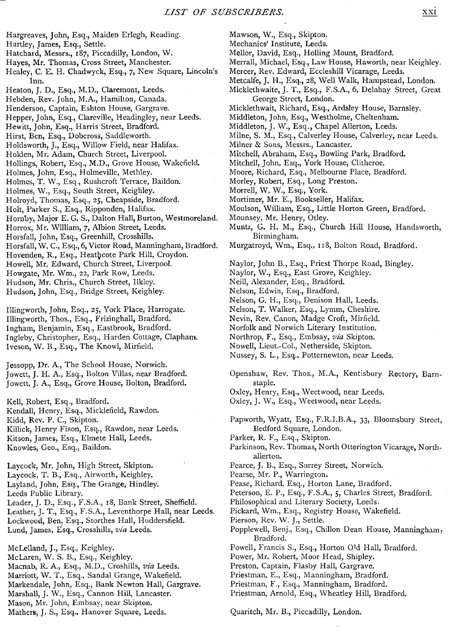- Hargreaves, John, Esq., Maid<br>Hartley, James, Esq., Settle.<br>Hatchard, Messrs., 187, Picca<br>Hayes, Mr. Thomas, Cross St Hargreaves, John, Esq., Maiden Erlegh, Reading. -<br>Hargreaves, John, Esq<br>Hartley, James, Esq., S Hartley, James, Esq., Settle.
	- Hatchard, Messrs., 187, Piccadilly, London, W.
- Hayes, Mr. Thomas, Cross Street, Manchester.
- Healey, C. E. H. Chadwyck, Esq., 7, New Square, Lincoln's Mercer, Rev. Edward, Eccleshill Vicarage, Leeds.<br>Inn. 1994, Inn. Esq., 28, Well Walk, Hampstead, London. Inn. XXI<br>
Margreaves, John, Esq., Maiden Erlegh, Reading. Mawson, W., Esq., Skipton.<br>
Hartley, James, Esq., Settle. Mechanics' Institute, Leeds.<br>
Hatchard, Messrs., 187, Piccadilly, London, W. Mellor, David, Esq., Holling Mount
- Heaton, J. D., Esq., M.D., Claremont, Leeds.
- Hebden, Rev. John, M.A., Hamilton, Canada.<br>Henderson, Captain, Eshton House, Gargrave.
- 
- Hepper, John, Esq., Clareville, Headingley, near Leeds.
- Hewitt, John, Esq., Harris Street, Bradford.
- Hirst, Ben, Esq., Dobcross, Saddleworth.
- Holdsworth, J., Esq., Willow Field, near Halifax.
- Holden, Mr. Adam, Church Street, Liverpool.
- Hollings, Robert, Esq., M.D., Grove House, Wakefield.
- Holmes, John, Esq., Holmeville, Methley.
- Holmes, T. W., Esq., Rushcroft Terrace, Baildon.
- Holmes, W., Esq., South Street, Keighley.
- Holroyd, Thomas, Esq., 25, Cheapside, Bradford.
- Holt, Parker S., Esq., Ripponden, Halifax.
- Hornby, Major E. G. S., Dalton Hall, Burton, Westmoreland. Mounsey, Mr. Henry, Otley.
- Horrox, Mr. William, 7, Albion Street, Leeds.
- Horsfall, John, Esq., Greenhill, Crosshills.
- Horsfall, W. C., Esq., 6, Victor Road, Manningham, Bradford.
- Hovenden, R., Esq., Heathcote Park Hill, Croydon.
- Howell, Mr. Edward, Church Street, Liverpool.
- Howgate, Mr. Wm., 22, Park Row, Leeds .
- Hudson, Mr. Chris., Church Street, Ilkley.
- Hudson, John, Esq., Bridge Street, Keighley.

Illingworth, John, Esq., 25, York Place, Harrogate. Nelson, T. Walker, Esq., Lymm, Cheshire.<br>11 Ilingworth, Thos., Esq., Frizinghall, Bradford. Nevin, Rev. Canon, Madge Croft, Mirfield. Illingworth, Thos., Esq., Frizinghall, Bradford. Nevin, Rev. Canon, Madge Croft, Mirfield<br>Ingham. Benjamin, Esq., Eastbrook, Bradford. Norfolk and Norwich Literary Institution. Ingham, Benjamin, Esq., Eastbrook, Bradford. Norfolk and Norwich Literary Institution<br>Ingleby, Christopher, Esq., Harden Cottage, Clapham. Northrop, F., Esq., Embsay, via Skipton. Ingleby, Christopher, Esq., Harden Cottage, Clapham. Iveson, W. B., Esq., The Knowl, Mirfield.

Jessopp, Dr. A., The School House, Norwich. Jowett, J. H. A., Esq., Bolton Villas, near Bradford. Jowett, J. A., Esq., Grove House, Bolton, Bradford.

- Oxley, Henry, Esq ., Weetwood, near Leeds. Kell, Robert, Esq ., Bradford . Oxley, J. W., Esq ., Weetwood, near Leeds . Kendall, Henry, Esq., Micklefield, Rawdon. Kidd, Rev. P. C., Skipton. Killick, Henry Fison, Esq., Rawdon, near Leeds. Kitson, James, Esq., Elmete Hall, Leeds. Knowles, Geo., Esq., Baildon.  $\label{eq:21} \begin{tabular}{ll} \textsc{12} & \textsc{12} & \textsc{12} & \textsc{12} & \textsc{12} & \textsc{12} & \textsc{12} \\ \textsc{2} & \textsc{2} & \textsc{2} & \textsc{2} \\ \textsc{2} & \textsc{2} & \textsc{2} & \textsc{2} \\ \textsc{2} & \textsc{2} & \textsc{2} & \textsc{2} \\ \textsc{2} & \textsc{2} & \textsc{2} & \textsc{2} \\ \textsc{2} & \textsc{2} & \textsc{2} & \textsc{2} \\ \textsc{2} & \$ 
	- Laycock, Mr . John, High Street, Skipton. Laycock, T. B., Esq., Airworth, Keighley. Layland, John, Esq., The Grange, Hindley. Leeds Public Library.
	- Leader, J. D., Esq., F.S.A., 18, Bank Street, Sheffield. Leather, J. T., Esq., F.S.A., Leventhorpe Hall, near Leeds. Lockwood, Ben, Esq., Storthes Hall, Huddersfield. Lund, James, Esq., Crosshills, via Leeds.
	- McLelland, J., Esq., Keighley. McLaren, W. S. B., Esq., Keighley. Macnab, R. A., Esq., M.D., Croshills, via Leeds. Marriott, W. T., Esq., Sandal Grange, Wakefield. Markendale, John, Esq., Bank Newton Hall, Gargrave. Marshall, J. W., Esq., Cannon Hill, Lancaster. Mason, Mr. John, Embsay, near Skipton. Mathers, J. S., Esq., Hanover Square, Leeds.
- Mawson, W., Esq., Skipton.
- Mechanics' Institute, Leeds.
- Mellor, David, Esq., Holling Mount, Bradford.
- Merrall, Michael, Esq., Law House, Haworth, near Keighley.
- 
- Micklethwaite, J. T., Esq., F.S.A., 6, Delahay Street, Great George Street, London.
- Micklethwait, Richard, Esq., Ardsley House, Barnsley.
- Middleton, John, Esq., Westholme, Cheltenham.
- Middleton, J. W., Esq., Chapel Allerton, Leeds.
- Milne, S. M., Esq., Calverley House, Calverley, near Leeds.
- Milner & Sons, Messrs., Lancaster.
- Mitchell, Abraham, Esq., Bowling Park, Bradford.
- Mitchell, John, Esq., York House, Clitheroe.
- Moore, Richard, Esq., Melbourne Place, Bradford.
- Morley, Robert, Esq., Long Preston.
- Morrell, W. W., Esq., York.
- Mortimer, Mr. E., Bookseller, Halifax.
- Moulson, William, Esq., Little Horton Green, Bradford.
- 
- Muntz, G. H. M., Esq., Church Hill House, Handsworth,
- Birmingham.<br>Murgatroyd, Wm., Esq., 118, Bolton Road, Bradford.
- Naylor, John B., Esq., Priest Thorpe Road, Bingley.
- Naylor, W., Esq., East Grove, Keighley.
- Neill, Alexander, Esq., Bradford.
- Nelson, Edwin, Esq., Bradford.
- Nelson, G. H., Esq., Denison Hall, Leeds.<br>Nelson, T. Walker, Esq., Lymm, Cheshire.
- 
- 
- 
- 
- Nowell, Lieut.-Col., Netherside, Skipton.
- Nussey, S. L., Esq., Potternewton, near Leeds.
- Openshaw, Rev. Thos., M.A., Kentisbury Rectory, Barnstaple.
- 
- 
- Papworth, Wyatt, Esq., F.R.I.B.A., 33, Bloomsbury Street, Bedford Square, London.
- Parker, R. F., Esq., Skipton.
- Parkinson, Rev. Thomas, North Otterington Vicarage, Northallerton.
- Pearce, J. B., Esq., Surrey Street, Norwich.
- Pearse, Mr. P., Warrington.
- Pease, Richard, Esq., Horton Lane, Bradford.

- Philosophical and Literary Society, Leeds .
- Pickard, Wm., Esq., Registry House, Wakefield.
- Pierson, Rev. W. J., Settle.
- Popplewell, Benj., Esq., Chillon Dean House, Manningham, Bradford.
- Powell, Francis S., Esq., Horton Old Hall, Bradford.
- Power, Mr. Robert, Moor Head, Shipley.
- Preston, Captain, Flasby Hall, Gargrave.
- Priestman, E., Esq., Manningham, Bradford.
- Priestman, F., Esq., Manningham, Bradford.
- Priestman, Arnold, Esq., Wheatley Hill, Bradford.

Quaritch, Mr. B., Piccadilly, London.